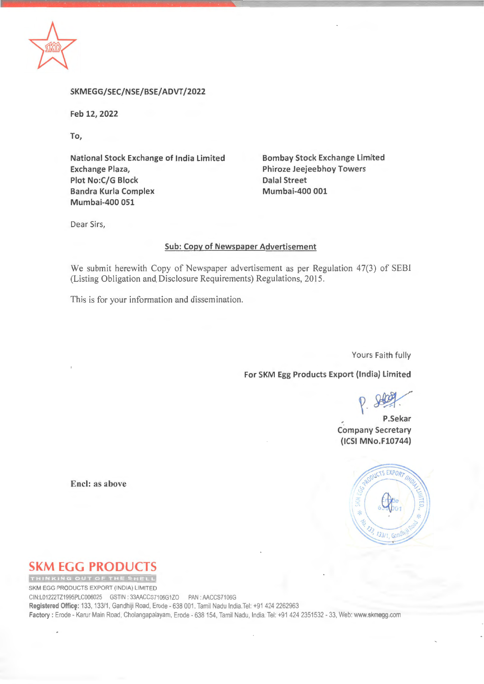

**SKMEGG/SEC/NSE/BSE/ ADVT /2022** 

**Feb 12, 2022** 

**To,** 

**National Stock Exchange of India Limited Exchange Plaza, Plot No:C/G Block Bandra Kurla Complex Mumbai-400 051** 

**Bombay Stock Exchange Limited Phiroze Jeejeebhoy Towers Dalal Street Mumbai-400 001** 

Dear Sirs,

## **Sub: Copy of Newspaper Advertisement**

We submit herewith Copy of Newspaper advertisement as per Regulation 47(3) of SEBI (Listing Obligation and Disclosure Requirements) Regulations, 2015 .

This is for your information and dissemination.

Yours Faith fully

**For SKM Egg Products Export (India) Limited** 

 $P.800$ 

**P.Sekar Company Secretary (ICSI MNo.F10744)** 

EXPORT  $133/$ 

**Encl: as above** 

## **SKM EGG PRODUCTS**

SKM EGG PRODUCTS EXPORT (INDIA) LIMITED CINL01222TZ1995PLC006025 GSTIN • 33AACCS7106G1ZO PAN. AACCS7106G **Registered Office:** 133, 133/1, Gandhiji Road, Erode - 638 001. Tamil Nadu India.Tel: +91 424 2262963 Factory : Erode - Karur Main Road, Cholangapalayam, Erode - 638 154, Tamil Nadu, India: Tel: +91 424 2351532 - 33, Web: www.skmegg.com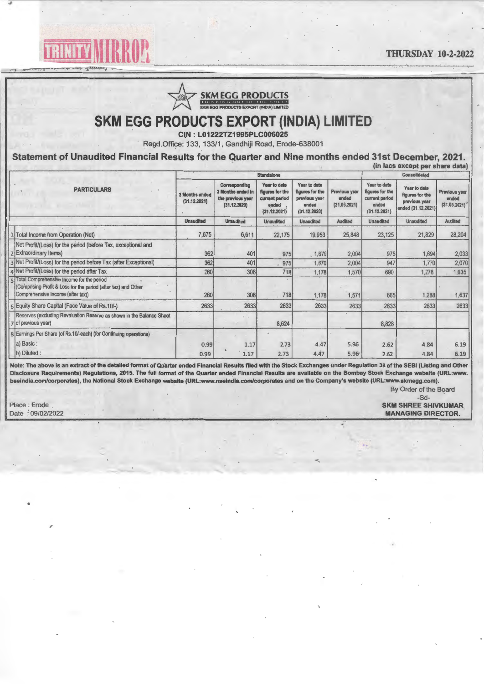THURSDAY 10-2-2022



EXAMPLE CONSIDER FROM THE CONSIDER THE CONSIDER THE CONSIDER THE CONSIDER THE CONSTRUCTION OF THE CONSTRUCTION OF THE CONSTRUCTION OF THE CONSTRUCTION OF THE CONSTRUCTION OF THE CONSTRUCTION OF THE CONSTRUCTION OF THE CONS

## **SKM EGG PRODUCTS EXPORT (INDIA) LIMITED**

**ClN: L01222TZ1995PLC006025** 

Regd.Office: 133, 133/1, Gandhiji Road, Erode-638001

**Statement of Unaudited Financial Results for the Quarter and Nine months ended 31st December, 2021.** 

|                    | (in lacs except per share data)                                                                                                                     |                                |                                                                         |                                                                            |                                                                           |                                        |                                                                            |                                                                               |                                        |  |  |
|--------------------|-----------------------------------------------------------------------------------------------------------------------------------------------------|--------------------------------|-------------------------------------------------------------------------|----------------------------------------------------------------------------|---------------------------------------------------------------------------|----------------------------------------|----------------------------------------------------------------------------|-------------------------------------------------------------------------------|----------------------------------------|--|--|
|                    |                                                                                                                                                     |                                | <b>Standalone</b>                                                       | Consolidated                                                               |                                                                           |                                        |                                                                            |                                                                               |                                        |  |  |
| <b>PARTICULARS</b> |                                                                                                                                                     | 3 Months ended<br>(31.12.2021) | Corresponding<br>3 Months ended in<br>the previous year<br>(31.12.2020) | Year to date<br>figures for the<br>current period<br>ended<br>(31.12.2021) | Year to date<br>figures for the<br>previous year<br>ended<br>(31.12.2020) | Previous year<br>ended<br>(31.03.2021) | Year to date<br>figures for the<br>current period<br>ended<br>(31.12.2021) | <b>Year to date</b><br>figures for the<br>previous year<br>ended (31.12.2021) | Previous year<br>ended<br>(31.03.2021) |  |  |
|                    |                                                                                                                                                     | <b>Unaudited</b>               | <b>Unaudited</b>                                                        | Unaudited                                                                  | <b>Unaudited</b>                                                          | <b>Audited</b>                         | Unaudited                                                                  | Unaudited                                                                     | Audited                                |  |  |
|                    | 1 Total Income from Operation (Net)                                                                                                                 | 7,675                          | 6,611                                                                   | 22,175                                                                     | 19,953                                                                    | 25,848                                 | 23,125                                                                     | 21,829                                                                        | 28,204                                 |  |  |
|                    | Net Profit/(Loss) for the period (before Tax, exceptional and<br>2 Extraordinary Items)                                                             | 362                            | 401                                                                     | 975                                                                        | , 1,670                                                                   | 2,004                                  | 975                                                                        | 1,694                                                                         | 2,033                                  |  |  |
|                    | 3 Net Profit/(Loss) for the period before Tax (after Exceptional)                                                                                   | 362                            | 401                                                                     | 975                                                                        | 1,670                                                                     | 2,004                                  | 947                                                                        | 1,770                                                                         | 2,070                                  |  |  |
|                    | 4 Net Profit/(Loss) for the period after Tax                                                                                                        | 260                            | 308                                                                     | 718                                                                        | 1,178                                                                     | 1,570                                  | 690                                                                        | 1.278                                                                         | 1,635                                  |  |  |
|                    | Firstal Comprehensive Income for the period<br>(Comprising Profit & Loss for the period (after tax) and Other<br>(Comprehensive Income (after tax)) | 260                            | 308                                                                     | 718                                                                        | 1,178                                                                     | 1,571                                  | 665                                                                        | 1,288                                                                         | 1,637                                  |  |  |
|                    | 6 Equity Share Capital (Face Value of Rs.10/-)                                                                                                      | 2633                           | 2633                                                                    | 2633                                                                       | 2633                                                                      | 2633                                   | 2633                                                                       | 2633                                                                          | 2633                                   |  |  |
|                    | Reserves (excluding Revaluation Reserve as shown in the Balance Sheet<br>7 of previous year)                                                        |                                |                                                                         | 8,624                                                                      |                                                                           |                                        | 8,828                                                                      |                                                                               |                                        |  |  |
|                    | 8 Earnings Per Share (of Rs.10/-each) (for Continuing operations)                                                                                   |                                |                                                                         |                                                                            |                                                                           |                                        |                                                                            |                                                                               |                                        |  |  |
|                    | a) Basic:                                                                                                                                           | 0.99                           | 1.17                                                                    | 2.73                                                                       | 4.47                                                                      | 5.96                                   | 2.62                                                                       | 4.84                                                                          | 6.19                                   |  |  |
|                    | (b) Diluted :                                                                                                                                       | 0.99                           | 1.17                                                                    | 2.73                                                                       | 4.47                                                                      | 5.96                                   | 2.62                                                                       | 4.84                                                                          | 6.19                                   |  |  |

**Note: The above is an extract of the detailed format of Quarter ended Financial Results filed with the Stock Exchanges under Regulation 33 of the SEBI (Listing and Other Disclosure Requirements) Regulations, 2015. The full format of the Quarter ended Financial Results are available on the Bombay Stock Exchange website (URL:www. bseindia.com/corporates}, the National Stock Exchange website (URL:www.nseindia.com/corporates and on the Company's website (URL:www.skmegg.com).** 

By Order of the Board

,

-Sd-Place : Erode **SKM SHREE SHIVKUMAR MANAGING DIRECTOR**